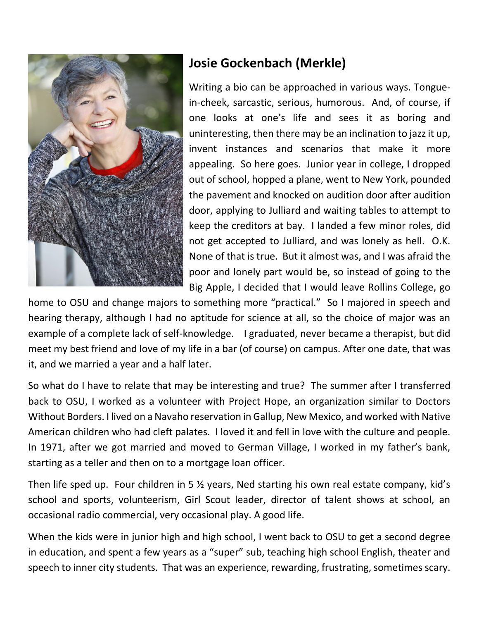

## **Josie Gockenbach (Merkle)**

Writing a bio can be approached in various ways. Tonguein-cheek, sarcastic, serious, humorous. And, of course, if one looks at one's life and sees it as boring and uninteresting, then there may be an inclination to jazz it up, invent instances and scenarios that make it more appealing. So here goes. Junior year in college, I dropped out of school, hopped a plane, went to New York, pounded the pavement and knocked on audition door after audition door, applying to Julliard and waiting tables to attempt to keep the creditors at bay. I landed a few minor roles, did not get accepted to Julliard, and was lonely as hell. O.K. None of that is true. But it almost was, and I was afraid the poor and lonely part would be, so instead of going to the Big Apple, I decided that I would leave Rollins College, go

home to OSU and change majors to something more "practical." So I majored in speech and hearing therapy, although I had no aptitude for science at all, so the choice of major was an example of a complete lack of self-knowledge. I graduated, never became a therapist, but did meet my best friend and love of my life in a bar (of course) on campus. After one date, that was it, and we married a year and a half later.

So what do I have to relate that may be interesting and true? The summer after I transferred back to OSU, I worked as a volunteer with Project Hope, an organization similar to Doctors Without Borders. I lived on a Navaho reservation in Gallup, New Mexico, and worked with Native American children who had cleft palates. I loved it and fell in love with the culture and people. In 1971, after we got married and moved to German Village, I worked in my father's bank, starting as a teller and then on to a mortgage loan officer.

Then life sped up. Four children in 5 ½ years, Ned starting his own real estate company, kid's school and sports, volunteerism, Girl Scout leader, director of talent shows at school, an occasional radio commercial, very occasional play. A good life.

When the kids were in junior high and high school, I went back to OSU to get a second degree in education, and spent a few years as a "super" sub, teaching high school English, theater and speech to inner city students. That was an experience, rewarding, frustrating, sometimes scary.